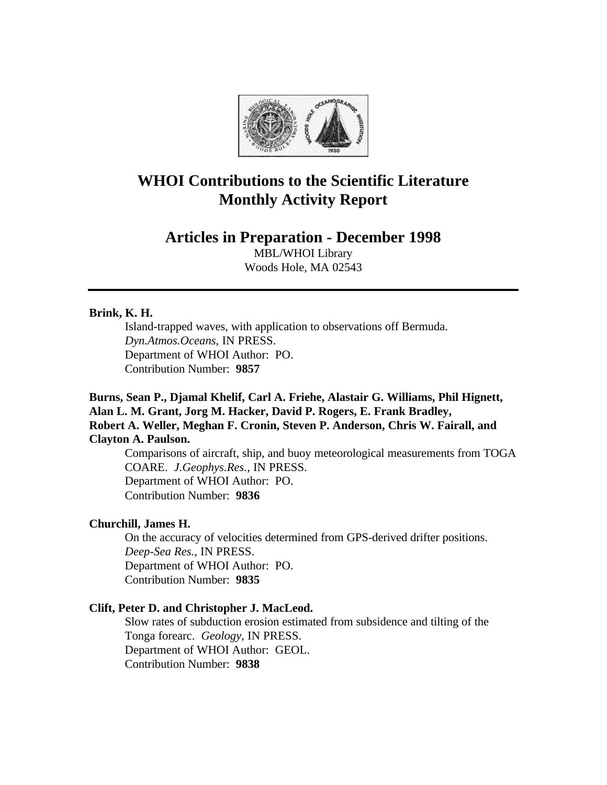

# **WHOI Contributions to the Scientific Literature Monthly Activity Report**

# **Articles in Preparation - December 1998**

MBL/WHOI Library Woods Hole, MA 02543

# **Brink, K. H.**

Island-trapped waves, with application to observations off Bermuda. *Dyn.Atmos.Oceans*, IN PRESS. Department of WHOI Author: PO. Contribution Number: **9857**

# **Burns, Sean P., Djamal Khelif, Carl A. Friehe, Alastair G. Williams, Phil Hignett, Alan L. M. Grant, Jorg M. Hacker, David P. Rogers, E. Frank Bradley, Robert A. Weller, Meghan F. Cronin, Steven P. Anderson, Chris W. Fairall, and Clayton A. Paulson.**

Comparisons of aircraft, ship, and buoy meteorological measurements from TOGA COARE. *J.Geophys.Res.*, IN PRESS. Department of WHOI Author: PO. Contribution Number: **9836**

# **Churchill, James H.**

On the accuracy of velocities determined from GPS-derived drifter positions. *Deep-Sea Res.*, IN PRESS. Department of WHOI Author: PO. Contribution Number: **9835**

# **Clift, Peter D. and Christopher J. MacLeod.**

Slow rates of subduction erosion estimated from subsidence and tilting of the Tonga forearc. *Geology*, IN PRESS. Department of WHOI Author: GEOL. Contribution Number: **9838**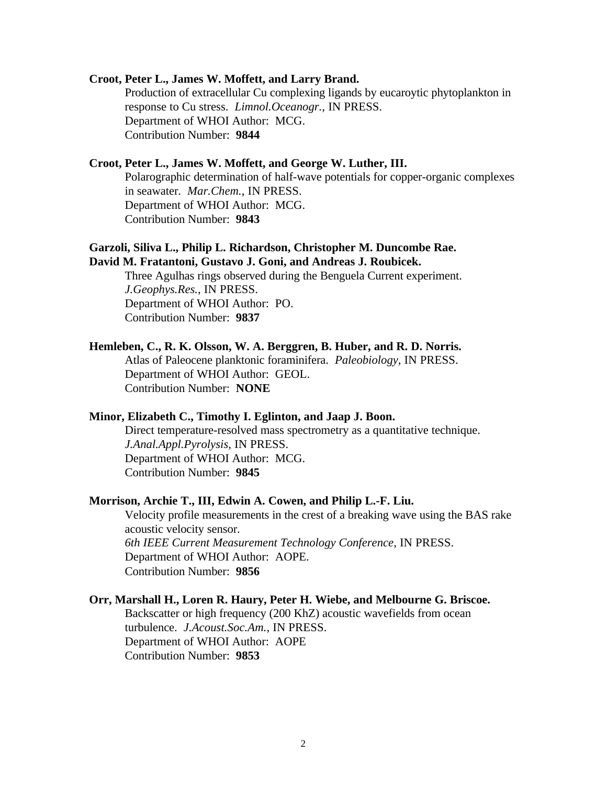#### **Croot, Peter L., James W. Moffett, and Larry Brand.**

Production of extracellular Cu complexing ligands by eucaroytic phytoplankton in response to Cu stress. *Limnol.Oceanogr.*, IN PRESS. Department of WHOI Author: MCG. Contribution Number: **9844**

# **Croot, Peter L., James W. Moffett, and George W. Luther, III.**

Polarographic determination of half-wave potentials for copper-organic complexes in seawater. *Mar.Chem.*, IN PRESS. Department of WHOI Author: MCG. Contribution Number: **9843**

# **Garzoli, Siliva L., Philip L. Richardson, Christopher M. Duncombe Rae. David M. Fratantoni, Gustavo J. Goni, and Andreas J. Roubicek.**

Three Agulhas rings observed during the Benguela Current experiment. *J.Geophys.Res.*, IN PRESS. Department of WHOI Author: PO. Contribution Number: **9837**

#### **Hemleben, C., R. K. Olsson, W. A. Berggren, B. Huber, and R. D. Norris.**

Atlas of Paleocene planktonic foraminifera. *Paleobiology*, IN PRESS. Department of WHOI Author: GEOL. Contribution Number: **NONE**

#### **Minor, Elizabeth C., Timothy I. Eglinton, and Jaap J. Boon.**

Direct temperature-resolved mass spectrometry as a quantitative technique. *J.Anal.Appl.Pyrolysis*, IN PRESS. Department of WHOI Author: MCG. Contribution Number: **9845**

#### **Morrison, Archie T., III, Edwin A. Cowen, and Philip L.-F. Liu.**

Velocity profile measurements in the crest of a breaking wave using the BAS rake acoustic velocity sensor. *6th IEEE Current Measurement Technology Conference*, IN PRESS. Department of WHOI Author: AOPE. Contribution Number: **9856**

#### **Orr, Marshall H., Loren R. Haury, Peter H. Wiebe, and Melbourne G. Briscoe.**

Backscatter or high frequency (200 KhZ) acoustic wavefields from ocean turbulence. *J.Acoust.Soc.Am.*, IN PRESS. Department of WHOI Author: AOPE Contribution Number: **9853**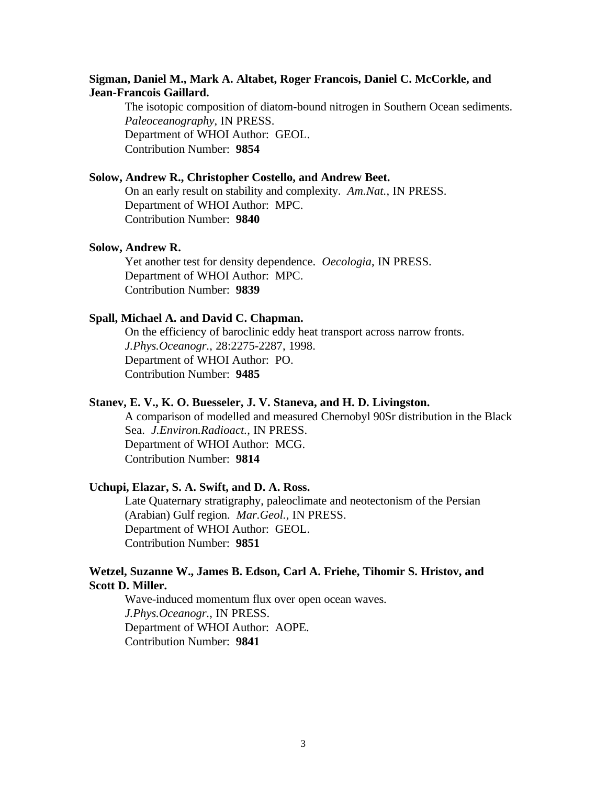# **Sigman, Daniel M., Mark A. Altabet, Roger Francois, Daniel C. McCorkle, and Jean-Francois Gaillard.**

The isotopic composition of diatom-bound nitrogen in Southern Ocean sediments. *Paleoceanography*, IN PRESS. Department of WHOI Author: GEOL. Contribution Number: **9854**

#### **Solow, Andrew R., Christopher Costello, and Andrew Beet.**

On an early result on stability and complexity. *Am.Nat.*, IN PRESS. Department of WHOI Author: MPC. Contribution Number: **9840**

#### **Solow, Andrew R.**

Yet another test for density dependence. *Oecologia*, IN PRESS. Department of WHOI Author: MPC. Contribution Number: **9839**

#### **Spall, Michael A. and David C. Chapman.**

On the efficiency of baroclinic eddy heat transport across narrow fronts. *J.Phys.Oceanogr.*, 28:2275-2287, 1998. Department of WHOI Author: PO. Contribution Number: **9485**

#### **Stanev, E. V., K. O. Buesseler, J. V. Staneva, and H. D. Livingston.**

A comparison of modelled and measured Chernobyl 90Sr distribution in the Black Sea. *J.Environ.Radioact.*, IN PRESS. Department of WHOI Author: MCG. Contribution Number: **9814**

#### **Uchupi, Elazar, S. A. Swift, and D. A. Ross.**

Late Quaternary stratigraphy, paleoclimate and neotectonism of the Persian (Arabian) Gulf region. *Mar.Geol.*, IN PRESS. Department of WHOI Author: GEOL. Contribution Number: **9851**

# **Wetzel, Suzanne W., James B. Edson, Carl A. Friehe, Tihomir S. Hristov, and Scott D. Miller.**

Wave-induced momentum flux over open ocean waves. *J.Phys.Oceanogr.*, IN PRESS. Department of WHOI Author: AOPE. Contribution Number: **9841**